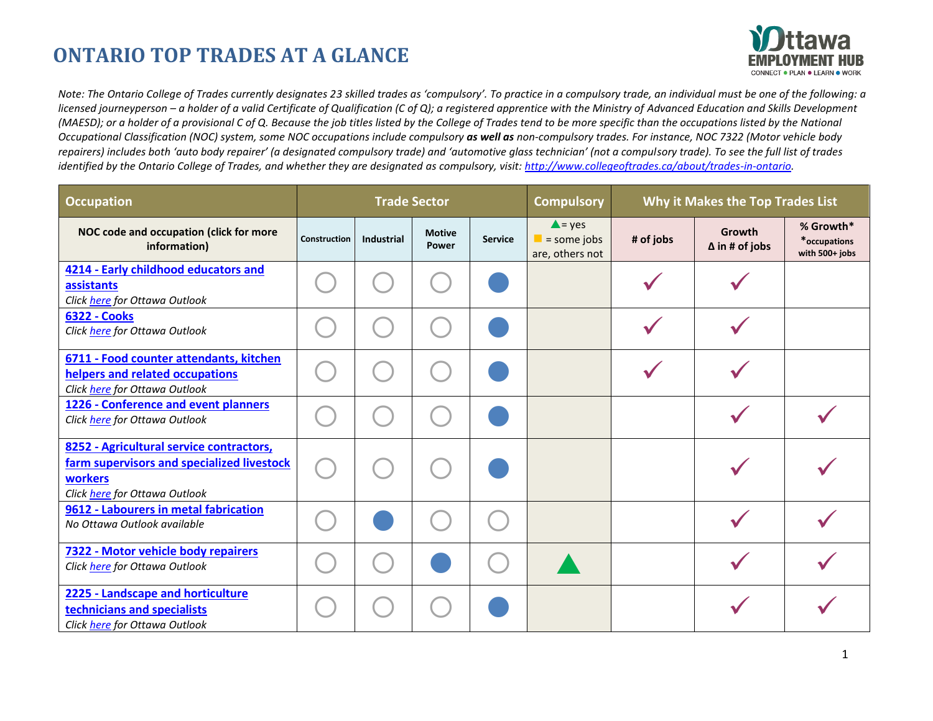## **ONTARIO TOP TRADES AT A GLANCE**



*Note: The Ontario College of Trades currently designates 23 skilled trades as 'compulsory'. To practice in a compulsory trade, an individual must be one of the following: a licensed journeyperson – a holder of a valid Certificate of Qualification (C of Q); a registered apprentice with the Ministry of Advanced Education and Skills Development (MAESD); or a holder of a provisional C of Q. Because the job titles listed by the College of Trades tend to be more specific than the occupations listed by the National Occupational Classification (NOC) system, some NOC occupations include compulsory as well as non-compulsory trades. For instance, NOC 7322 (Motor vehicle body repairers) includes both 'auto body repairer' (a designated compulsory trade) and 'automotive glass technician' (not a compulsory trade). To see the full list of trades identified by the Ontario College of Trades, and whether they are designated as compulsory, visit: [http://www.collegeoftrades.ca/about/trades-in-ontario.](http://www.collegeoftrades.ca/about/trades-in-ontario)* 

| <b>Occupation</b>                                                                                                                  | <b>Trade Sector</b> |            |                        |                | <b>Compulsory</b>                                   | Why it Makes the Top Trades List |                                 |                                               |
|------------------------------------------------------------------------------------------------------------------------------------|---------------------|------------|------------------------|----------------|-----------------------------------------------------|----------------------------------|---------------------------------|-----------------------------------------------|
| NOC code and occupation (click for more<br>information)                                                                            | <b>Construction</b> | Industrial | <b>Motive</b><br>Power | <b>Service</b> | $\triangle$ = yes<br>= some jobs<br>are, others not | # of jobs                        | Growth<br>$\Delta$ in # of jobs | % Growth*<br>*occupations<br>with $500+$ jobs |
| 4214 - Early childhood educators and<br>assistants<br>Click here for Ottawa Outlook                                                |                     |            |                        |                |                                                     |                                  |                                 |                                               |
| <b>6322 - Cooks</b><br>Click here for Ottawa Outlook                                                                               |                     |            |                        |                |                                                     |                                  |                                 |                                               |
| 6711 - Food counter attendants, kitchen<br>helpers and related occupations<br>Click here for Ottawa Outlook                        |                     |            |                        |                |                                                     |                                  |                                 |                                               |
| 1226 - Conference and event planners<br>Click here for Ottawa Outlook                                                              |                     |            |                        |                |                                                     |                                  |                                 |                                               |
| 8252 - Agricultural service contractors,<br>farm supervisors and specialized livestock<br>workers<br>Click here for Ottawa Outlook |                     |            |                        |                |                                                     |                                  |                                 |                                               |
| 9612 - Labourers in metal fabrication<br>No Ottawa Outlook available                                                               |                     |            |                        |                |                                                     |                                  |                                 |                                               |
| 7322 - Motor vehicle body repairers<br>Click here for Ottawa Outlook                                                               |                     |            |                        |                |                                                     |                                  |                                 |                                               |
| 2225 - Landscape and horticulture<br>technicians and specialists<br>Click here for Ottawa Outlook                                  |                     |            |                        |                |                                                     |                                  |                                 |                                               |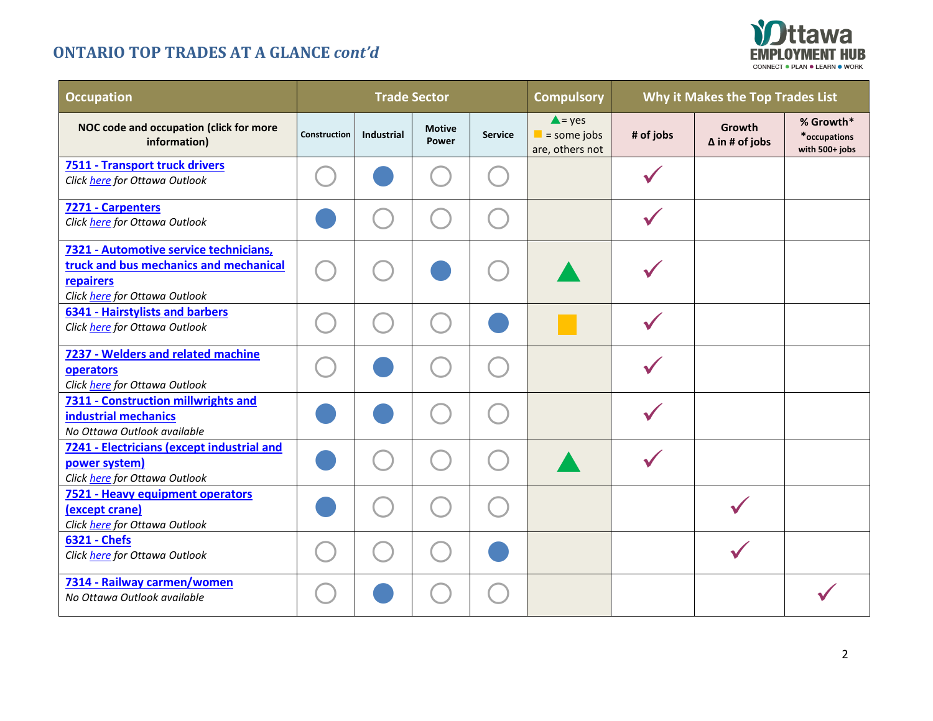## **ONTARIO TOP TRADES AT A GLANCE** *cont'd*



| <b>Occupation</b>                                                                                                              | <b>Trade Sector</b> |                   |                               |                | <b>Compulsory</b>                                                  | Why it Makes the Top Trades List |                                 |                                               |
|--------------------------------------------------------------------------------------------------------------------------------|---------------------|-------------------|-------------------------------|----------------|--------------------------------------------------------------------|----------------------------------|---------------------------------|-----------------------------------------------|
| NOC code and occupation (click for more<br>information)                                                                        | <b>Construction</b> | <b>Industrial</b> | <b>Motive</b><br><b>Power</b> | <b>Service</b> | $\triangle$ = yes<br>$\blacksquare$ = some jobs<br>are, others not | # of jobs                        | Growth<br>$\Delta$ in # of jobs | % Growth*<br>*occupations<br>with $500+$ jobs |
| 7511 - Transport truck drivers<br>Click here for Ottawa Outlook                                                                |                     |                   |                               |                |                                                                    |                                  |                                 |                                               |
| 7271 - Carpenters<br>Click here for Ottawa Outlook                                                                             |                     |                   |                               |                |                                                                    |                                  |                                 |                                               |
| 7321 - Automotive service technicians,<br>truck and bus mechanics and mechanical<br>repairers<br>Click here for Ottawa Outlook |                     |                   |                               |                |                                                                    |                                  |                                 |                                               |
| <b>6341 - Hairstylists and barbers</b><br>Click here for Ottawa Outlook                                                        |                     |                   |                               |                |                                                                    |                                  |                                 |                                               |
| 7237 - Welders and related machine<br>operators<br>Click here for Ottawa Outlook                                               |                     |                   |                               |                |                                                                    |                                  |                                 |                                               |
| 7311 - Construction millwrights and<br>industrial mechanics<br>No Ottawa Outlook available                                     |                     |                   |                               |                |                                                                    |                                  |                                 |                                               |
| 7241 - Electricians (except industrial and<br>power system)<br>Click here for Ottawa Outlook                                   |                     |                   |                               |                |                                                                    |                                  |                                 |                                               |
| 7521 - Heavy equipment operators<br>(except crane)<br>Click here for Ottawa Outlook                                            |                     |                   |                               |                |                                                                    |                                  |                                 |                                               |
| <b>6321 - Chefs</b><br>Click here for Ottawa Outlook                                                                           |                     |                   |                               |                |                                                                    |                                  |                                 |                                               |
| 7314 - Railway carmen/women<br>No Ottawa Outlook available                                                                     |                     |                   |                               |                |                                                                    |                                  |                                 |                                               |